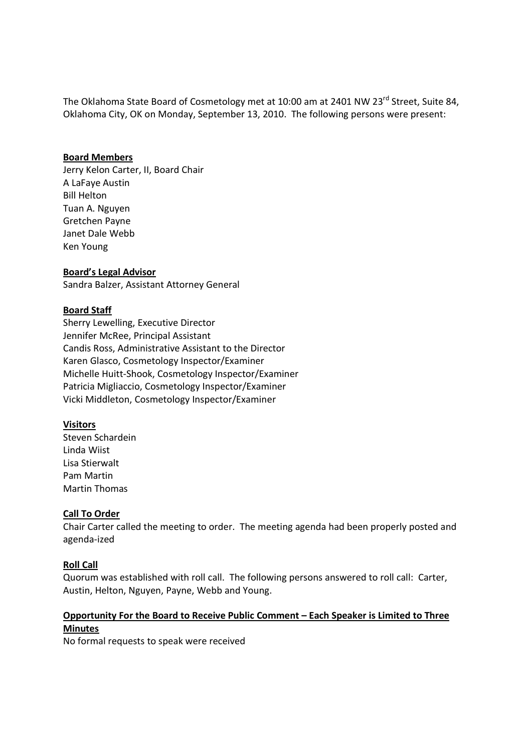The Oklahoma State Board of Cosmetology met at 10:00 am at 2401 NW 23<sup>rd</sup> Street, Suite 84, Oklahoma City, OK on Monday, September 13, 2010. The following persons were present:

## **Board Members**

Jerry Kelon Carter, II, Board Chair A LaFaye Austin Bill Helton Tuan A. Nguyen Gretchen Payne Janet Dale Webb Ken Young

**Board's Legal Advisor** Sandra Balzer, Assistant Attorney General

# **Board Staff**

Sherry Lewelling, Executive Director Jennifer McRee, Principal Assistant Candis Ross, Administrative Assistant to the Director Karen Glasco, Cosmetology Inspector/Examiner Michelle Huitt-Shook, Cosmetology Inspector/Examiner Patricia Migliaccio, Cosmetology Inspector/Examiner Vicki Middleton, Cosmetology Inspector/Examiner

#### **Visitors**

Steven Schardein Linda Wiist Lisa Stierwalt Pam Martin Martin Thomas

# **Call To Order**

Chair Carter called the meeting to order. The meeting agenda had been properly posted and agenda-ized

# **Roll Call**

Quorum was established with roll call. The following persons answered to roll call: Carter, Austin, Helton, Nguyen, Payne, Webb and Young.

# **Opportunity For the Board to Receive Public Comment – Each Speaker is Limited to Three Minutes**

No formal requests to speak were received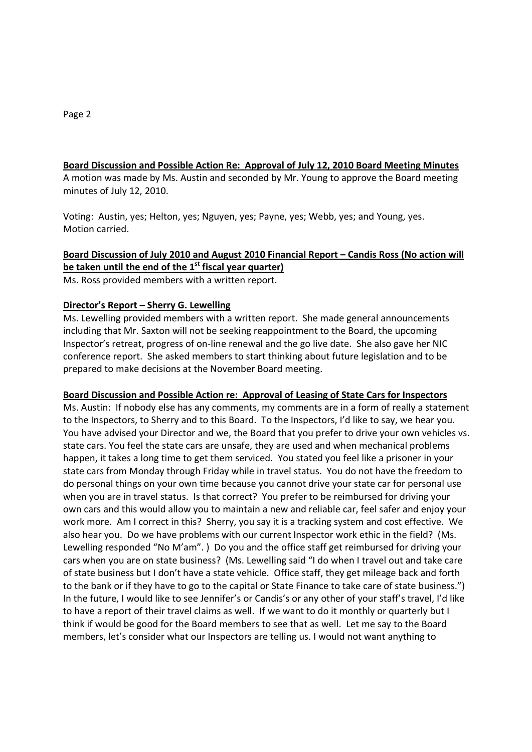## **Board Discussion and Possible Action Re: Approval of July 12, 2010 Board Meeting Minutes**

A motion was made by Ms. Austin and seconded by Mr. Young to approve the Board meeting minutes of July 12, 2010.

Voting: Austin, yes; Helton, yes; Nguyen, yes; Payne, yes; Webb, yes; and Young, yes. Motion carried.

# **Board Discussion of July 2010 and August 2010 Financial Report – Candis Ross (No action will be taken until the end of the 1st fiscal year quarter)**

Ms. Ross provided members with a written report.

#### **Director's Report – Sherry G. Lewelling**

Ms. Lewelling provided members with a written report. She made general announcements including that Mr. Saxton will not be seeking reappointment to the Board, the upcoming Inspector's retreat, progress of on-line renewal and the go live date. She also gave her NIC conference report. She asked members to start thinking about future legislation and to be prepared to make decisions at the November Board meeting.

#### **Board Discussion and Possible Action re: Approval of Leasing of State Cars for Inspectors**

Ms. Austin: If nobody else has any comments, my comments are in a form of really a statement to the Inspectors, to Sherry and to this Board. To the Inspectors, I'd like to say, we hear you. You have advised your Director and we, the Board that you prefer to drive your own vehicles vs. state cars. You feel the state cars are unsafe, they are used and when mechanical problems happen, it takes a long time to get them serviced. You stated you feel like a prisoner in your state cars from Monday through Friday while in travel status. You do not have the freedom to do personal things on your own time because you cannot drive your state car for personal use when you are in travel status. Is that correct? You prefer to be reimbursed for driving your own cars and this would allow you to maintain a new and reliable car, feel safer and enjoy your work more. Am I correct in this? Sherry, you say it is a tracking system and cost effective. We also hear you. Do we have problems with our current Inspector work ethic in the field? (Ms. Lewelling responded "No M'am". ) Do you and the office staff get reimbursed for driving your cars when you are on state business? (Ms. Lewelling said "I do when I travel out and take care of state business but I don't have a state vehicle. Office staff, they get mileage back and forth to the bank or if they have to go to the capital or State Finance to take care of state business.") In the future, I would like to see Jennifer's or Candis's or any other of your staff's travel, I'd like to have a report of their travel claims as well. If we want to do it monthly or quarterly but I think if would be good for the Board members to see that as well. Let me say to the Board members, let's consider what our Inspectors are telling us. I would not want anything to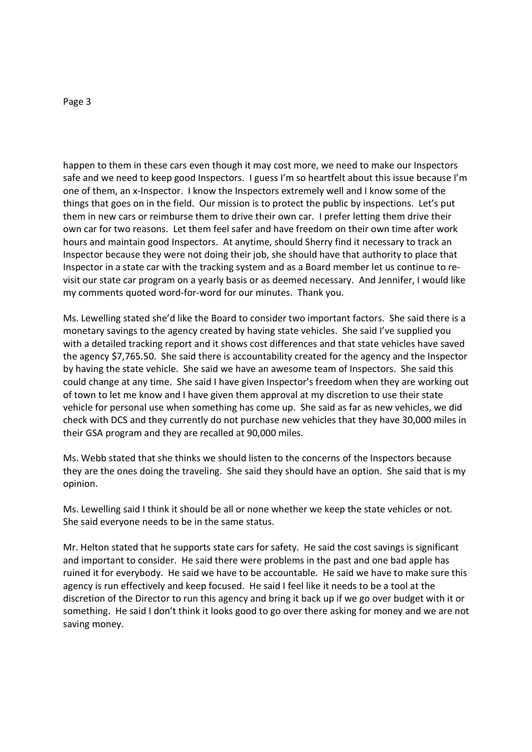happen to them in these cars even though it may cost more, we need to make our Inspectors safe and we need to keep good Inspectors. I guess I'm so heartfelt about this issue because I'm one of them, an x-Inspector. I know the Inspectors extremely well and I know some of the things that goes on in the field. Our mission is to protect the public by inspections. Let's put them in new cars or reimburse them to drive their own car. I prefer letting them drive their own car for two reasons. Let them feel safer and have freedom on their own time after work hours and maintain good Inspectors. At anytime, should Sherry find it necessary to track an Inspector because they were not doing their job, she should have that authority to place that Inspector in a state car with the tracking system and as a Board member let us continue to revisit our state car program on a yearly basis or as deemed necessary. And Jennifer, I would like my comments quoted word-for-word for our minutes. Thank you.

Ms. Lewelling stated she'd like the Board to consider two important factors. She said there is a monetary savings to the agency created by having state vehicles. She said I've supplied you with a detailed tracking report and it shows cost differences and that state vehicles have saved the agency \$7,765.50. She said there is accountability created for the agency and the Inspector by having the state vehicle. She said we have an awesome team of Inspectors. She said this could change at any time. She said I have given Inspector's freedom when they are working out of town to let me know and I have given them approval at my discretion to use their state vehicle for personal use when something has come up. She said as far as new vehicles, we did check with DCS and they currently do not purchase new vehicles that they have 30,000 miles in their GSA program and they are recalled at 90,000 miles.

Ms. Webb stated that she thinks we should listen to the concerns of the Inspectors because they are the ones doing the traveling. She said they should have an option. She said that is my opinion.

Ms. Lewelling said I think it should be all or none whether we keep the state vehicles or not. She said everyone needs to be in the same status.

Mr. Helton stated that he supports state cars for safety. He said the cost savings is significant and important to consider. He said there were problems in the past and one bad apple has ruined it for everybody. He said we have to be accountable. He said we have to make sure this agency is run effectively and keep focused. He said I feel like it needs to be a tool at the discretion of the Director to run this agency and bring it back up if we go over budget with it or something. He said I don't think it looks good to go over there asking for money and we are not saving money.

#### Page 3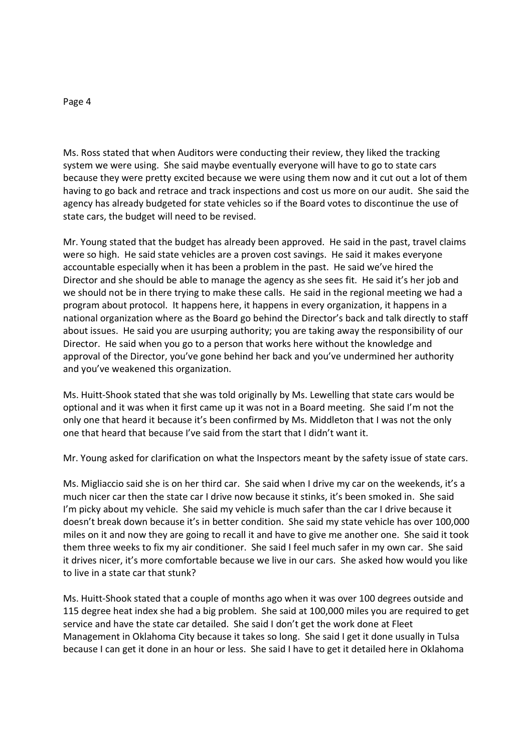#### Page 4

Ms. Ross stated that when Auditors were conducting their review, they liked the tracking system we were using. She said maybe eventually everyone will have to go to state cars because they were pretty excited because we were using them now and it cut out a lot of them having to go back and retrace and track inspections and cost us more on our audit. She said the agency has already budgeted for state vehicles so if the Board votes to discontinue the use of state cars, the budget will need to be revised.

Mr. Young stated that the budget has already been approved. He said in the past, travel claims were so high. He said state vehicles are a proven cost savings. He said it makes everyone accountable especially when it has been a problem in the past. He said we've hired the Director and she should be able to manage the agency as she sees fit. He said it's her job and we should not be in there trying to make these calls. He said in the regional meeting we had a program about protocol. It happens here, it happens in every organization, it happens in a national organization where as the Board go behind the Director's back and talk directly to staff about issues. He said you are usurping authority; you are taking away the responsibility of our Director. He said when you go to a person that works here without the knowledge and approval of the Director, you've gone behind her back and you've undermined her authority and you've weakened this organization.

Ms. Huitt-Shook stated that she was told originally by Ms. Lewelling that state cars would be optional and it was when it first came up it was not in a Board meeting. She said I'm not the only one that heard it because it's been confirmed by Ms. Middleton that I was not the only one that heard that because I've said from the start that I didn't want it.

Mr. Young asked for clarification on what the Inspectors meant by the safety issue of state cars.

Ms. Migliaccio said she is on her third car. She said when I drive my car on the weekends, it's a much nicer car then the state car I drive now because it stinks, it's been smoked in. She said I'm picky about my vehicle. She said my vehicle is much safer than the car I drive because it doesn't break down because it's in better condition. She said my state vehicle has over 100,000 miles on it and now they are going to recall it and have to give me another one. She said it took them three weeks to fix my air conditioner. She said I feel much safer in my own car. She said it drives nicer, it's more comfortable because we live in our cars. She asked how would you like to live in a state car that stunk?

Ms. Huitt-Shook stated that a couple of months ago when it was over 100 degrees outside and 115 degree heat index she had a big problem. She said at 100,000 miles you are required to get service and have the state car detailed. She said I don't get the work done at Fleet Management in Oklahoma City because it takes so long. She said I get it done usually in Tulsa because I can get it done in an hour or less. She said I have to get it detailed here in Oklahoma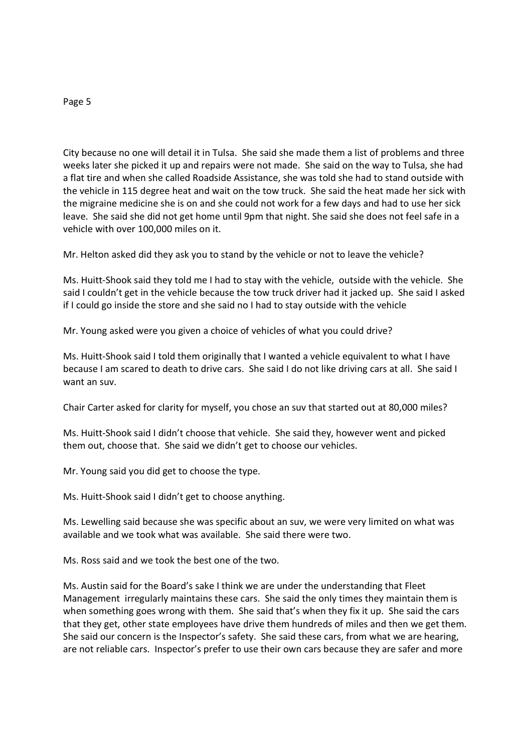#### Page 5

City because no one will detail it in Tulsa. She said she made them a list of problems and three weeks later she picked it up and repairs were not made. She said on the way to Tulsa, she had a flat tire and when she called Roadside Assistance, she was told she had to stand outside with the vehicle in 115 degree heat and wait on the tow truck. She said the heat made her sick with the migraine medicine she is on and she could not work for a few days and had to use her sick leave. She said she did not get home until 9pm that night. She said she does not feel safe in a vehicle with over 100,000 miles on it.

Mr. Helton asked did they ask you to stand by the vehicle or not to leave the vehicle?

Ms. Huitt-Shook said they told me I had to stay with the vehicle, outside with the vehicle. She said I couldn't get in the vehicle because the tow truck driver had it jacked up. She said I asked if I could go inside the store and she said no I had to stay outside with the vehicle

Mr. Young asked were you given a choice of vehicles of what you could drive?

Ms. Huitt-Shook said I told them originally that I wanted a vehicle equivalent to what I have because I am scared to death to drive cars. She said I do not like driving cars at all. She said I want an suv.

Chair Carter asked for clarity for myself, you chose an suv that started out at 80,000 miles?

Ms. Huitt-Shook said I didn't choose that vehicle. She said they, however went and picked them out, choose that. She said we didn't get to choose our vehicles.

Mr. Young said you did get to choose the type.

Ms. Huitt-Shook said I didn't get to choose anything.

Ms. Lewelling said because she was specific about an suv, we were very limited on what was available and we took what was available. She said there were two.

Ms. Ross said and we took the best one of the two.

Ms. Austin said for the Board's sake I think we are under the understanding that Fleet Management irregularly maintains these cars. She said the only times they maintain them is when something goes wrong with them. She said that's when they fix it up. She said the cars that they get, other state employees have drive them hundreds of miles and then we get them. She said our concern is the Inspector's safety. She said these cars, from what we are hearing, are not reliable cars. Inspector's prefer to use their own cars because they are safer and more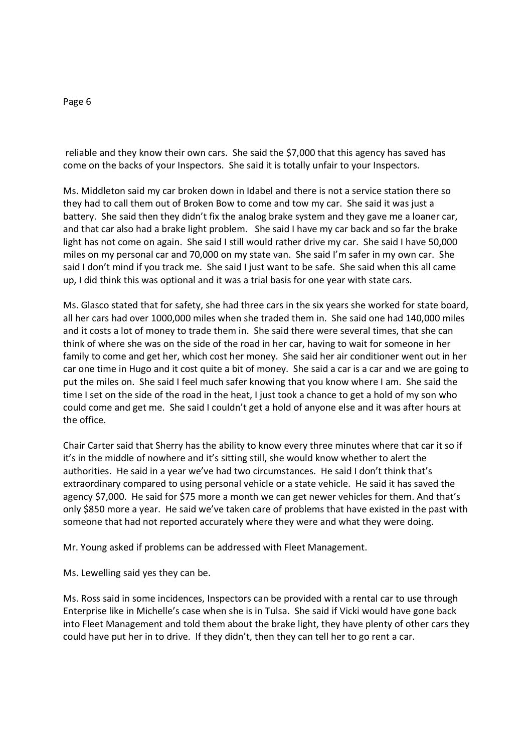reliable and they know their own cars. She said the \$7,000 that this agency has saved has come on the backs of your Inspectors. She said it is totally unfair to your Inspectors.

Ms. Middleton said my car broken down in Idabel and there is not a service station there so they had to call them out of Broken Bow to come and tow my car. She said it was just a battery. She said then they didn't fix the analog brake system and they gave me a loaner car, and that car also had a brake light problem. She said I have my car back and so far the brake light has not come on again. She said I still would rather drive my car. She said I have 50,000 miles on my personal car and 70,000 on my state van. She said I'm safer in my own car. She said I don't mind if you track me. She said I just want to be safe. She said when this all came up, I did think this was optional and it was a trial basis for one year with state cars.

Ms. Glasco stated that for safety, she had three cars in the six years she worked for state board, all her cars had over 1000,000 miles when she traded them in. She said one had 140,000 miles and it costs a lot of money to trade them in. She said there were several times, that she can think of where she was on the side of the road in her car, having to wait for someone in her family to come and get her, which cost her money. She said her air conditioner went out in her car one time in Hugo and it cost quite a bit of money. She said a car is a car and we are going to put the miles on. She said I feel much safer knowing that you know where I am. She said the time I set on the side of the road in the heat, I just took a chance to get a hold of my son who could come and get me. She said I couldn't get a hold of anyone else and it was after hours at the office.

Chair Carter said that Sherry has the ability to know every three minutes where that car it so if it's in the middle of nowhere and it's sitting still, she would know whether to alert the authorities. He said in a year we've had two circumstances. He said I don't think that's extraordinary compared to using personal vehicle or a state vehicle. He said it has saved the agency \$7,000. He said for \$75 more a month we can get newer vehicles for them. And that's only \$850 more a year. He said we've taken care of problems that have existed in the past with someone that had not reported accurately where they were and what they were doing.

Mr. Young asked if problems can be addressed with Fleet Management.

Ms. Lewelling said yes they can be.

Ms. Ross said in some incidences, Inspectors can be provided with a rental car to use through Enterprise like in Michelle's case when she is in Tulsa. She said if Vicki would have gone back into Fleet Management and told them about the brake light, they have plenty of other cars they could have put her in to drive. If they didn't, then they can tell her to go rent a car.

#### Page 6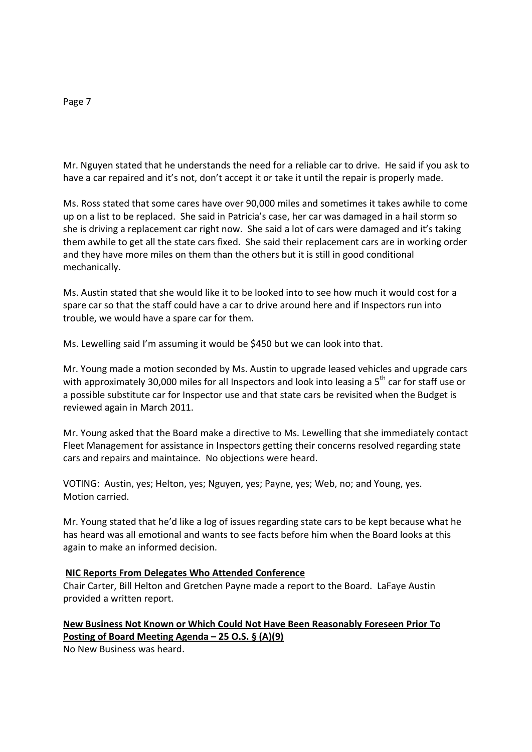Mr. Nguyen stated that he understands the need for a reliable car to drive. He said if you ask to have a car repaired and it's not, don't accept it or take it until the repair is properly made.

Ms. Ross stated that some cares have over 90,000 miles and sometimes it takes awhile to come up on a list to be replaced. She said in Patricia's case, her car was damaged in a hail storm so she is driving a replacement car right now. She said a lot of cars were damaged and it's taking them awhile to get all the state cars fixed. She said their replacement cars are in working order and they have more miles on them than the others but it is still in good conditional mechanically.

Ms. Austin stated that she would like it to be looked into to see how much it would cost for a spare car so that the staff could have a car to drive around here and if Inspectors run into trouble, we would have a spare car for them.

Ms. Lewelling said I'm assuming it would be \$450 but we can look into that.

Mr. Young made a motion seconded by Ms. Austin to upgrade leased vehicles and upgrade cars with approximately 30,000 miles for all Inspectors and look into leasing a  $5<sup>th</sup>$  car for staff use or a possible substitute car for Inspector use and that state cars be revisited when the Budget is reviewed again in March 2011.

Mr. Young asked that the Board make a directive to Ms. Lewelling that she immediately contact Fleet Management for assistance in Inspectors getting their concerns resolved regarding state cars and repairs and maintaince. No objections were heard.

VOTING: Austin, yes; Helton, yes; Nguyen, yes; Payne, yes; Web, no; and Young, yes. Motion carried.

Mr. Young stated that he'd like a log of issues regarding state cars to be kept because what he has heard was all emotional and wants to see facts before him when the Board looks at this again to make an informed decision.

# **NIC Reports From Delegates Who Attended Conference**

Chair Carter, Bill Helton and Gretchen Payne made a report to the Board. LaFaye Austin provided a written report.

**New Business Not Known or Which Could Not Have Been Reasonably Foreseen Prior To Posting of Board Meeting Agenda – 25 O.S. § (A)(9)**

No New Business was heard.

Page 7